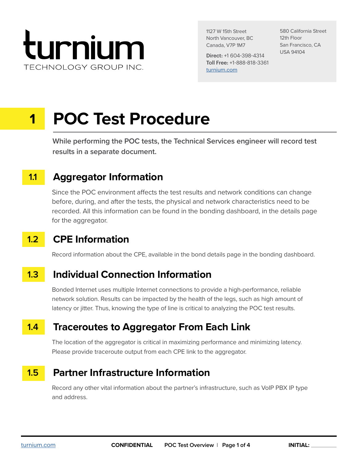

1127 W 15th Street North Vancouver, BC Canada, V7P 1M7

Direct: +1 604-398-4314 Toll Free: +1-888-818-3361 [turnium.com](https://turnium.com/)

580 California Street 12th Floor San Francisco, CA USA 94104

# **1 POC Test Procedure**

**While performing the POC tests, the Technical Services engineer will record test results in a separate document.**

## **1.1 Aggregator Information**

Since the POC environment affects the test results and network conditions can change before, during, and after the tests, the physical and network characteristics need to be recorded. All this information can be found in the bonding dashboard, in the details page for the aggregator.

## **1.2 CPE Information**

Record information about the CPE, available in the bond details page in the bonding dashboard.

## **1.3 Individual Connection Information**

Bonded Internet uses multiple Internet connections to provide a high-performance, reliable network solution. Results can be impacted by the health of the legs, such as high amount of latency or jitter. Thus, knowing the type of line is critical to analyzing the POC test results.

## **1.4 Traceroutes to Aggregator From Each Link**

The location of the aggregator is critical in maximizing performance and minimizing latency. Please provide traceroute output from each CPE link to the aggregator.

#### **Partner Infrastructure Information 1.5**

Record any other vital information about the partner's infrastructure, such as VoIP PBX IP type and address.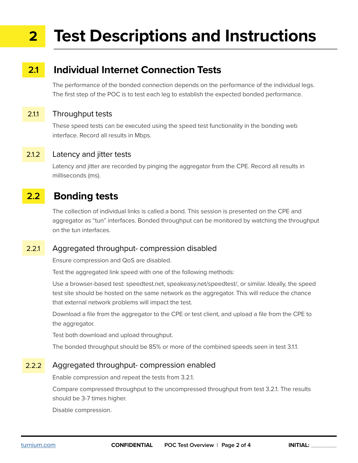## **Test Descriptions and Instructions 2**

## **2.1 Individual Internet Connection Tests**

The performance of the bonded connection depends on the performance of the individual legs. The first step of the POC is to test each leg to establish the expected bonded performance.

#### 2.1.1 Throughput tests

These speed tests can be executed using the speed test functionality in the bonding web interface. Record all results in Mbps.

#### 2.1.2 Latency and jitter tests

Latency and jitter are recorded by pinging the aggregator from the CPE. Record all results in milliseconds (ms).

## **2.2 Bonding tests**

The collection of individual links is called a bond. This session is presented on the CPE and aggregator as "tun" interfaces. Bonded throughput can be monitored by watching the throughput on the tun interfaces.

#### 2.2.1 Aggregated throughput- compression disabled

Ensure compression and QoS are disabled.

Test the aggregated link speed with one of the following methods:

Use a browser-based test: speedtest.net, speakeasy.net/speedtest/, or similar. Ideally, the speed test site should be hosted on the same network as the aggregator. This will reduce the chance that external network problems will impact the test.

Download a file from the aggregator to the CPE or test client, and upload a file from the CPE to the aggregator.

Test both download and upload throughput.

The bonded throughput should be 85% or more of the combined speeds seen in test 3.1.1.

#### 2.2.2 Aggregated throughput- compression enabled

Enable compression and repeat the tests from 3.2.1.

Compare compressed throughput to the uncompressed throughput from test 3.2.1. The results should be 3-7 times higher.

Disable compression.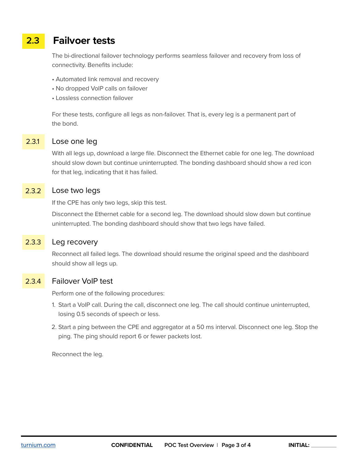## **2.3 Failvoer tests**

The bi-directional failover technology performs seamless failover and recovery from loss of connectivity. Benefits include:

- Automated link removal and recovery
- No dropped VoIP calls on failover
- Lossless connection failover

For these tests, configure all legs as non-failover. That is, every leg is a permanent part of the bond.

#### 2.3.1 Lose one leg

With all legs up, download a large file. Disconnect the Ethernet cable for one leg. The download should slow down but continue uninterrupted. The bonding dashboard should show a red icon for that leg, indicating that it has failed.

#### 2.3.2 Lose two legs

If the CPE has only two legs, skip this test.

Disconnect the Ethernet cable for a second leg. The download should slow down but continue uninterrupted. The bonding dashboard should show that two legs have failed.

#### 2.3.3 Leg recovery

Reconnect all failed legs. The download should resume the original speed and the dashboard should show all legs up.

#### 2.3.4 Failover VoIP test

Perform one of the following procedures:

- 1. Start a VoIP call. During the call, disconnect one leg. The call should continue uninterrupted, losing 0.5 seconds of speech or less.
- 2. Start a ping between the CPE and aggregator at a 50 ms interval. Disconnect one leg. Stop the ping. The ping should report 6 or fewer packets lost.

Reconnect the leg.